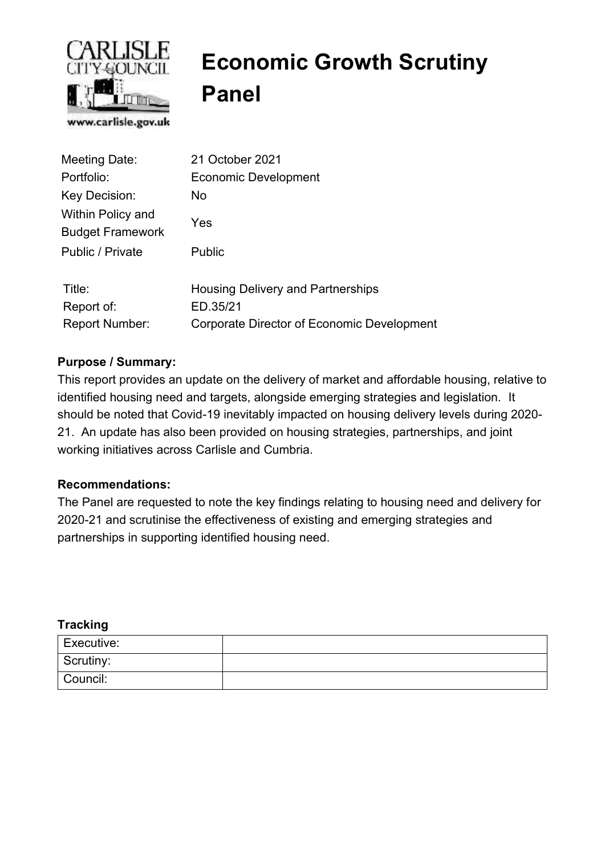

# **Economic Growth Scrutiny Panel**

| Meeting Date:                                       | 21 October 2021                                      |
|-----------------------------------------------------|------------------------------------------------------|
| Portfolio:                                          | Economic Development                                 |
| Key Decision:                                       | No.                                                  |
| <b>Within Policy and</b><br><b>Budget Framework</b> | Yes                                                  |
| Public / Private                                    | <b>Public</b>                                        |
| Title:<br>Report of:                                | <b>Housing Delivery and Partnerships</b><br>ED.35/21 |
| <b>Report Number:</b>                               | Corporate Director of Economic Development           |

## **Purpose / Summary:**

This report provides an update on the delivery of market and affordable housing, relative to identified housing need and targets, alongside emerging strategies and legislation. It should be noted that Covid-19 inevitably impacted on housing delivery levels during 2020- 21. An update has also been provided on housing strategies, partnerships, and joint working initiatives across Carlisle and Cumbria.

#### **Recommendations:**

The Panel are requested to note the key findings relating to housing need and delivery for 2020-21 and scrutinise the effectiveness of existing and emerging strategies and partnerships in supporting identified housing need.

#### **Tracking**

| Executive: |  |
|------------|--|
| Scrutiny:  |  |
| Council:   |  |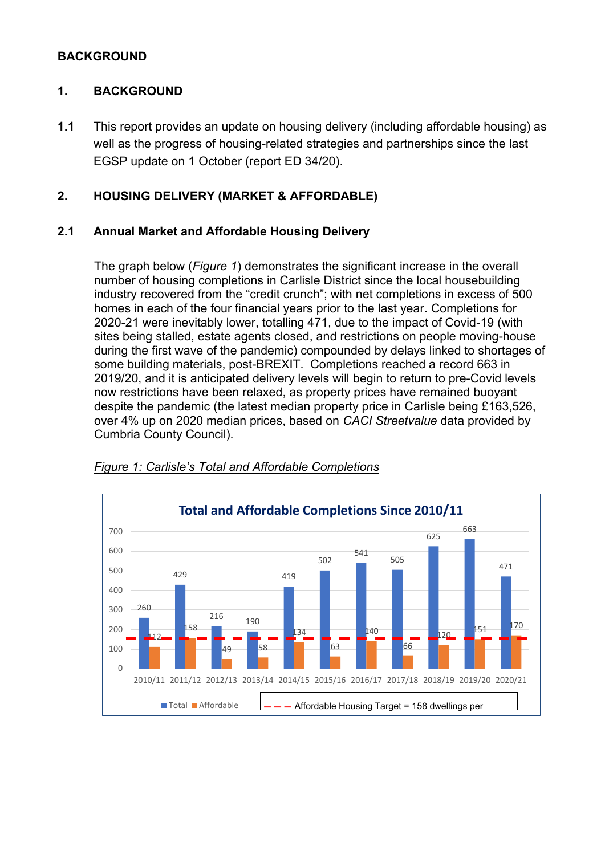#### **BACKGROUND**

## **1. BACKGROUND**

**1.1** This report provides an update on housing delivery (including affordable housing) as well as the progress of housing-related strategies and partnerships since the last EGSP update on 1 October (report ED 34/20).

# **2. HOUSING DELIVERY (MARKET & AFFORDABLE)**

#### **2.1 Annual Market and Affordable Housing Delivery**

The graph below (*Figure 1*) demonstrates the significant increase in the overall number of housing completions in Carlisle District since the local housebuilding industry recovered from the "credit crunch"; with net completions in excess of 500 homes in each of the four financial years prior to the last year. Completions for 2020-21 were inevitably lower, totalling 471, due to the impact of Covid-19 (with sites being stalled, estate agents closed, and restrictions on people moving-house during the first wave of the pandemic) compounded by delays linked to shortages of some building materials, post-BREXIT. Completions reached a record 663 in 2019/20, and it is anticipated delivery levels will begin to return to pre-Covid levels now restrictions have been relaxed, as property prices have remained buoyant despite the pandemic (the latest median property price in Carlisle being £163,526, over 4% up on 2020 median prices, based on *CACI Streetvalue* data provided by Cumbria County Council).



#### *Figure 1: Carlisle's Total and Affordable Completions*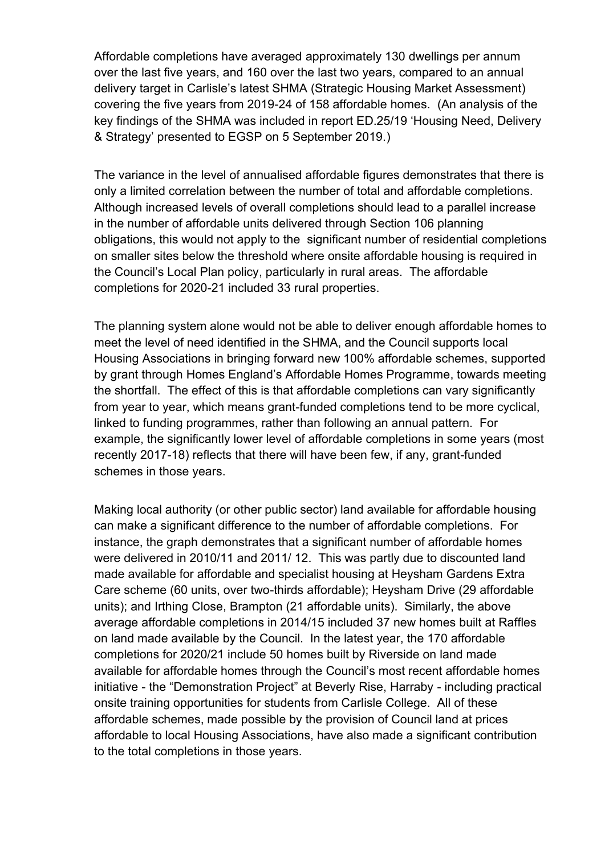Affordable completions have averaged approximately 130 dwellings per annum over the last five years, and 160 over the last two years, compared to an annual delivery target in Carlisle's latest SHMA (Strategic Housing Market Assessment) covering the five years from 2019-24 of 158 affordable homes. (An analysis of the key findings of the SHMA was included in report ED.25/19 'Housing Need, Delivery & Strategy' presented to EGSP on 5 September 2019.)

The variance in the level of annualised affordable figures demonstrates that there is only a limited correlation between the number of total and affordable completions. Although increased levels of overall completions should lead to a parallel increase in the number of affordable units delivered through Section 106 planning obligations, this would not apply to the significant number of residential completions on smaller sites below the threshold where onsite affordable housing is required in the Council's Local Plan policy, particularly in rural areas. The affordable completions for 2020-21 included 33 rural properties.

The planning system alone would not be able to deliver enough affordable homes to meet the level of need identified in the SHMA, and the Council supports local Housing Associations in bringing forward new 100% affordable schemes, supported by grant through Homes England's Affordable Homes Programme, towards meeting the shortfall. The effect of this is that affordable completions can vary significantly from year to year, which means grant-funded completions tend to be more cyclical, linked to funding programmes, rather than following an annual pattern. For example, the significantly lower level of affordable completions in some years (most recently 2017-18) reflects that there will have been few, if any, grant-funded schemes in those years.

Making local authority (or other public sector) land available for affordable housing can make a significant difference to the number of affordable completions. For instance, the graph demonstrates that a significant number of affordable homes were delivered in 2010/11 and 2011/ 12. This was partly due to discounted land made available for affordable and specialist housing at Heysham Gardens Extra Care scheme (60 units, over two-thirds affordable); Heysham Drive (29 affordable units); and Irthing Close, Brampton (21 affordable units). Similarly, the above average affordable completions in 2014/15 included 37 new homes built at Raffles on land made available by the Council. In the latest year, the 170 affordable completions for 2020/21 include 50 homes built by Riverside on land made available for affordable homes through the Council's most recent affordable homes initiative - the "Demonstration Project" at Beverly Rise, Harraby - including practical onsite training opportunities for students from Carlisle College. All of these affordable schemes, made possible by the provision of Council land at prices affordable to local Housing Associations, have also made a significant contribution to the total completions in those years.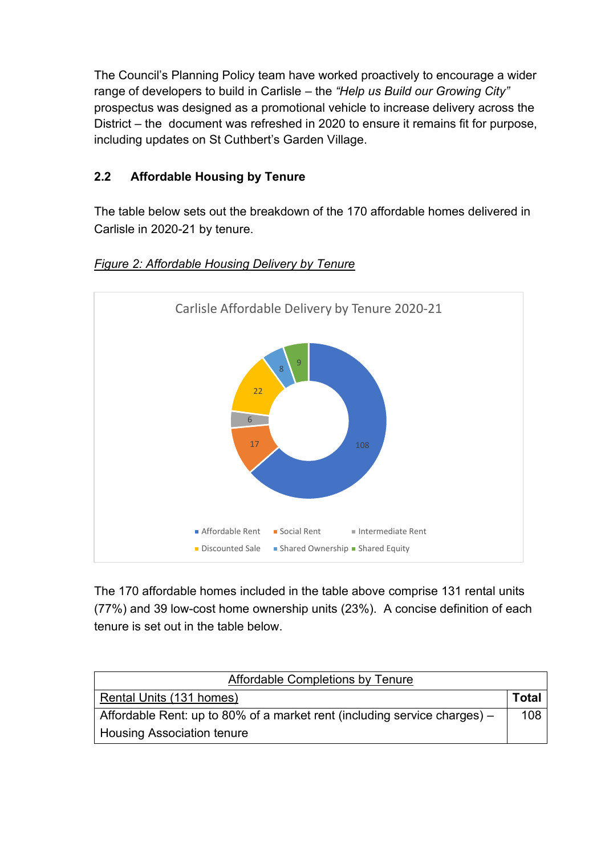The Council's Planning Policy team have worked proactively to encourage a wider range of developers to build in Carlisle – the *"Help us Build our Growing City"*  prospectus was designed as a promotional vehicle to increase delivery across the District – the document was refreshed in 2020 to ensure it remains fit for purpose, including updates on St Cuthbert's Garden Village.

# **2.2 Affordable Housing by Tenure**

The table below sets out the breakdown of the 170 affordable homes delivered in Carlisle in 2020-21 by tenure.



## *Figure 2: Affordable Housing Delivery by Tenure*

The 170 affordable homes included in the table above comprise 131 rental units (77%) and 39 low-cost home ownership units (23%). A concise definition of each tenure is set out in the table below.

| Affordable Completions by Tenure                                            |              |  |
|-----------------------------------------------------------------------------|--------------|--|
| Rental Units (131 homes)                                                    | <b>Total</b> |  |
| Affordable Rent: up to 80% of a market rent (including service charges) $-$ |              |  |
| <b>Housing Association tenure</b>                                           |              |  |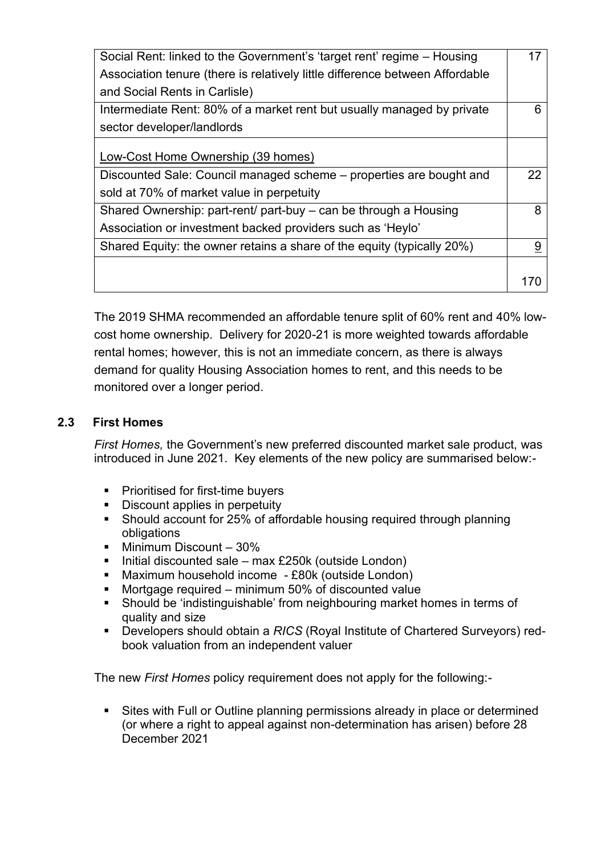| Social Rent: linked to the Government's 'target rent' regime – Housing       |    |
|------------------------------------------------------------------------------|----|
| Association tenure (there is relatively little difference between Affordable |    |
| and Social Rents in Carlisle)                                                |    |
| Intermediate Rent: 80% of a market rent but usually managed by private       | 6  |
| sector developer/landlords                                                   |    |
|                                                                              |    |
| Low-Cost Home Ownership (39 homes)                                           |    |
| Discounted Sale: Council managed scheme – properties are bought and          | 22 |
| sold at 70% of market value in perpetuity                                    |    |
| Shared Ownership: part-rent/ part-buy – can be through a Housing             | 8  |
| Association or investment backed providers such as 'Heylo'                   |    |
| Shared Equity: the owner retains a share of the equity (typically 20%)       |    |
|                                                                              |    |
|                                                                              |    |

The 2019 SHMA recommended an affordable tenure split of 60% rent and 40% lowcost home ownership. Delivery for 2020-21 is more weighted towards affordable rental homes; however, this is not an immediate concern, as there is always demand for quality Housing Association homes to rent, and this needs to be monitored over a longer period.

## **2.3 First Homes**

*First Homes,* the Government's new preferred discounted market sale product, was introduced in June 2021. Key elements of the new policy are summarised below:-

- Prioritised for first-time buyers
- Discount applies in perpetuity
- Should account for 25% of affordable housing required through planning obligations
- Minimum Discount 30%
- Initial discounted sale max £250k (outside London)
- Maximum household income £80k (outside London)
- Mortgage required minimum 50% of discounted value
- Should be 'indistinguishable' from neighbouring market homes in terms of quality and size
- Developers should obtain a *RICS* (Royal Institute of Chartered Surveyors) redbook valuation from an independent valuer

The new *First Homes* policy requirement does not apply for the following:-

Sites with Full or Outline planning permissions already in place or determined (or where a right to appeal against non-determination has arisen) before 28 December 2021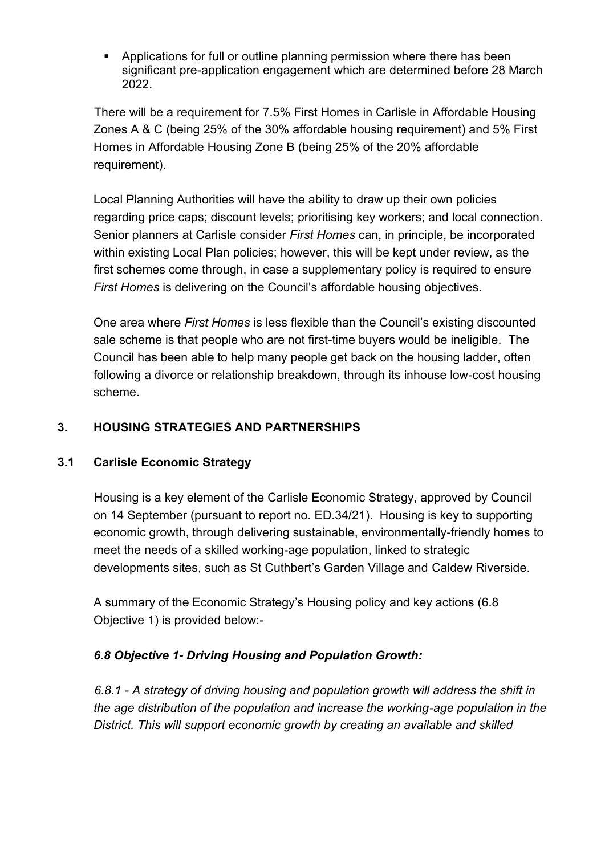■ Applications for full or outline planning permission where there has been significant pre-application engagement which are determined before 28 March 2022.

There will be a requirement for 7.5% First Homes in Carlisle in Affordable Housing Zones A & C (being 25% of the 30% affordable housing requirement) and 5% First Homes in Affordable Housing Zone B (being 25% of the 20% affordable requirement).

Local Planning Authorities will have the ability to draw up their own policies regarding price caps; discount levels; prioritising key workers; and local connection. Senior planners at Carlisle consider *First Homes* can, in principle, be incorporated within existing Local Plan policies; however, this will be kept under review, as the first schemes come through, in case a supplementary policy is required to ensure *First Homes* is delivering on the Council's affordable housing objectives.

One area where *First Homes* is less flexible than the Council's existing discounted sale scheme is that people who are not first-time buyers would be ineligible. The Council has been able to help many people get back on the housing ladder, often following a divorce or relationship breakdown, through its inhouse low-cost housing scheme.

# **3. HOUSING STRATEGIES AND PARTNERSHIPS**

#### **3.1 Carlisle Economic Strategy**

 Housing is a key element of the Carlisle Economic Strategy, approved by Council on 14 September (pursuant to report no. ED.34/21). Housing is key to supporting economic growth, through delivering sustainable, environmentally-friendly homes to meet the needs of a skilled working-age population, linked to strategic developments sites, such as St Cuthbert's Garden Village and Caldew Riverside.

A summary of the Economic Strategy's Housing policy and key actions (6.8 Objective 1) is provided below:-

# *6.8 Objective 1- Driving Housing and Population Growth:*

 *6.8.1 - A strategy of driving housing and population growth will address the shift in the age distribution of the population and increase the working-age population in the District. This will support economic growth by creating an available and skilled*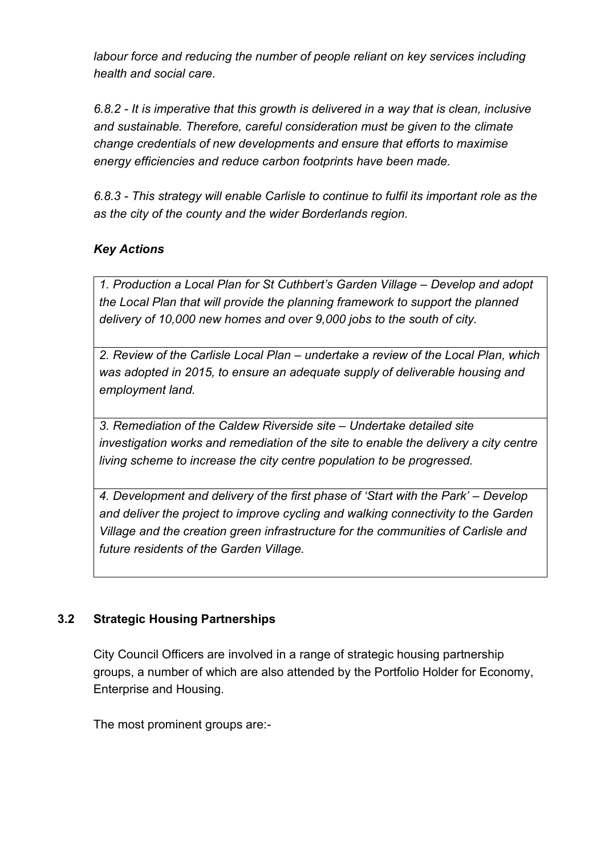*labour force and reducing the number of people reliant on key services including health and social care.* 

*6.8.2 - It is imperative that this growth is delivered in a way that is clean, inclusive and sustainable. Therefore, careful consideration must be given to the climate change credentials of new developments and ensure that efforts to maximise energy efficiencies and reduce carbon footprints have been made.* 

*6.8.3 - This strategy will enable Carlisle to continue to fulfil its important role as the as the city of the county and the wider Borderlands region.* 

# *Key Actions*

*1. Production a Local Plan for St Cuthbert's Garden Village – Develop and adopt the Local Plan that will provide the planning framework to support the planned delivery of 10,000 new homes and over 9,000 jobs to the south of city.* 

*2. Review of the Carlisle Local Plan – undertake a review of the Local Plan, which was adopted in 2015, to ensure an adequate supply of deliverable housing and employment land.* 

*3. Remediation of the Caldew Riverside site – Undertake detailed site investigation works and remediation of the site to enable the delivery a city centre living scheme to increase the city centre population to be progressed.* 

*4. Development and delivery of the first phase of 'Start with the Park' – Develop and deliver the project to improve cycling and walking connectivity to the Garden Village and the creation green infrastructure for the communities of Carlisle and future residents of the Garden Village.* 

# **3.2 Strategic Housing Partnerships**

City Council Officers are involved in a range of strategic housing partnership groups, a number of which are also attended by the Portfolio Holder for Economy, Enterprise and Housing.

The most prominent groups are:-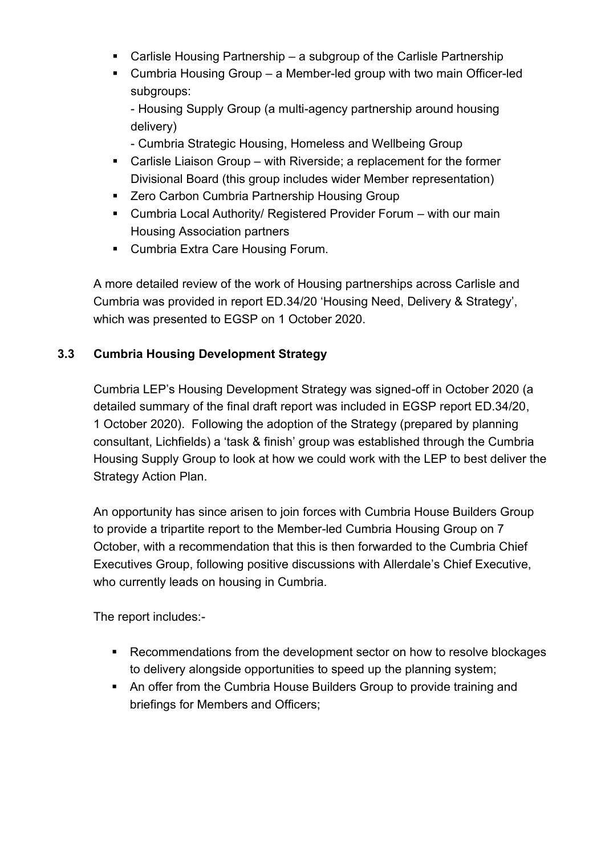- Carlisle Housing Partnership a subgroup of the Carlisle Partnership
- Cumbria Housing Group a Member-led group with two main Officer-led subgroups:

- Housing Supply Group (a multi-agency partnership around housing delivery)

- Cumbria Strategic Housing, Homeless and Wellbeing Group
- Carlisle Liaison Group with Riverside; a replacement for the former Divisional Board (this group includes wider Member representation)
- Zero Carbon Cumbria Partnership Housing Group
- Cumbria Local Authority/ Registered Provider Forum with our main Housing Association partners
- Cumbria Extra Care Housing Forum.

A more detailed review of the work of Housing partnerships across Carlisle and Cumbria was provided in report ED.34/20 'Housing Need, Delivery & Strategy', which was presented to EGSP on 1 October 2020.

## **3.3 Cumbria Housing Development Strategy**

Cumbria LEP's Housing Development Strategy was signed-off in October 2020 (a detailed summary of the final draft report was included in EGSP report ED.34/20, 1 October 2020). Following the adoption of the Strategy (prepared by planning consultant, Lichfields) a 'task & finish' group was established through the Cumbria Housing Supply Group to look at how we could work with the LEP to best deliver the Strategy Action Plan.

An opportunity has since arisen to join forces with Cumbria House Builders Group to provide a tripartite report to the Member-led Cumbria Housing Group on 7 October, with a recommendation that this is then forwarded to the Cumbria Chief Executives Group, following positive discussions with Allerdale's Chief Executive, who currently leads on housing in Cumbria.

The report includes:-

- Recommendations from the development sector on how to resolve blockages to delivery alongside opportunities to speed up the planning system;
- An offer from the Cumbria House Builders Group to provide training and briefings for Members and Officers;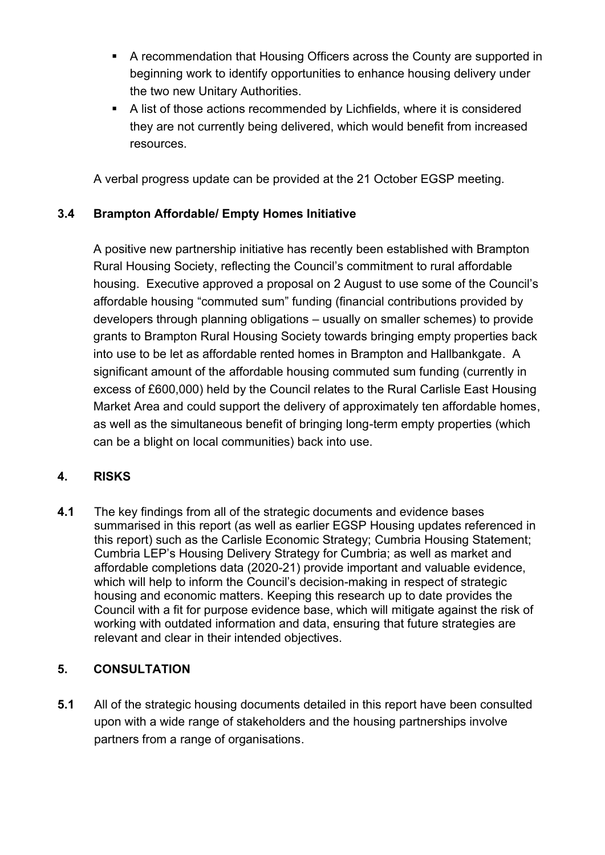- A recommendation that Housing Officers across the County are supported in beginning work to identify opportunities to enhance housing delivery under the two new Unitary Authorities.
- A list of those actions recommended by Lichfields, where it is considered they are not currently being delivered, which would benefit from increased resources.

A verbal progress update can be provided at the 21 October EGSP meeting.

# **3.4 Brampton Affordable/ Empty Homes Initiative**

A positive new partnership initiative has recently been established with Brampton Rural Housing Society, reflecting the Council's commitment to rural affordable housing. Executive approved a proposal on 2 August to use some of the Council's affordable housing "commuted sum" funding (financial contributions provided by developers through planning obligations – usually on smaller schemes) to provide grants to Brampton Rural Housing Society towards bringing empty properties back into use to be let as affordable rented homes in Brampton and Hallbankgate. A significant amount of the affordable housing commuted sum funding (currently in excess of £600,000) held by the Council relates to the Rural Carlisle East Housing Market Area and could support the delivery of approximately ten affordable homes, as well as the simultaneous benefit of bringing long-term empty properties (which can be a blight on local communities) back into use.

# **4. RISKS**

**4.1** The key findings from all of the strategic documents and evidence bases summarised in this report (as well as earlier EGSP Housing updates referenced in this report) such as the Carlisle Economic Strategy; Cumbria Housing Statement; Cumbria LEP's Housing Delivery Strategy for Cumbria; as well as market and affordable completions data (2020-21) provide important and valuable evidence, which will help to inform the Council's decision-making in respect of strategic housing and economic matters. Keeping this research up to date provides the Council with a fit for purpose evidence base, which will mitigate against the risk of working with outdated information and data, ensuring that future strategies are relevant and clear in their intended objectives.

# **5. CONSULTATION**

**5.1** All of the strategic housing documents detailed in this report have been consulted upon with a wide range of stakeholders and the housing partnerships involve partners from a range of organisations.